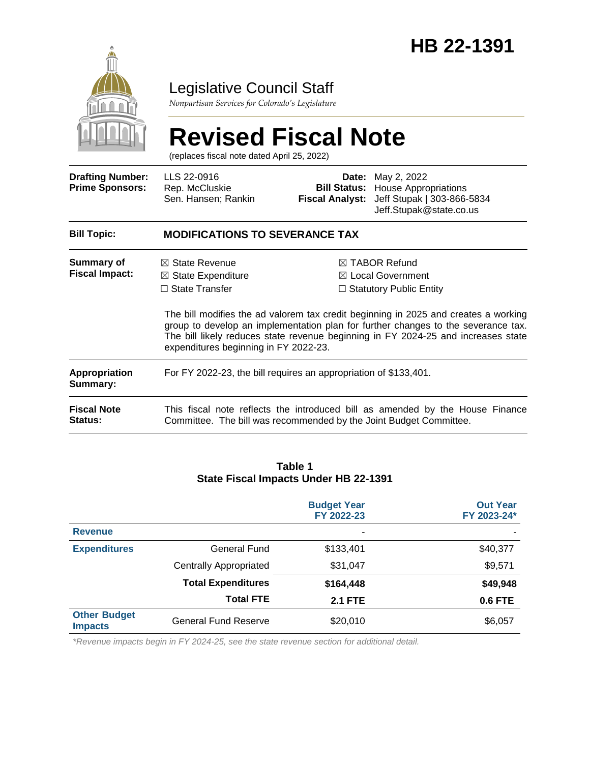

# Legislative Council Staff

*Nonpartisan Services for Colorado's Legislature*

# **Revised Fiscal Note**

(replaces fiscal note dated April 25, 2022)

| <b>Drafting Number:</b><br><b>Prime Sponsors:</b> | LLS 22-0916<br>Rep. McCluskie<br>Sen. Hansen; Rankin                                                                                                                                                                                                                                                   | <b>Fiscal Analyst:</b> | <b>Date:</b> May 2, 2022<br><b>Bill Status:</b> House Appropriations<br>Jeff Stupak   303-866-5834<br>Jeff.Stupak@state.co.us |  |  |  |
|---------------------------------------------------|--------------------------------------------------------------------------------------------------------------------------------------------------------------------------------------------------------------------------------------------------------------------------------------------------------|------------------------|-------------------------------------------------------------------------------------------------------------------------------|--|--|--|
| <b>Bill Topic:</b>                                | <b>MODIFICATIONS TO SEVERANCE TAX</b>                                                                                                                                                                                                                                                                  |                        |                                                                                                                               |  |  |  |
| Summary of<br><b>Fiscal Impact:</b>               | $\boxtimes$ State Revenue<br>$\boxtimes$ State Expenditure                                                                                                                                                                                                                                             |                        | $\boxtimes$ TABOR Refund<br>$\boxtimes$ Local Government                                                                      |  |  |  |
|                                                   | $\Box$ State Transfer                                                                                                                                                                                                                                                                                  |                        | $\Box$ Statutory Public Entity                                                                                                |  |  |  |
|                                                   | The bill modifies the ad valorem tax credit beginning in 2025 and creates a working<br>group to develop an implementation plan for further changes to the severance tax.<br>The bill likely reduces state revenue beginning in FY 2024-25 and increases state<br>expenditures beginning in FY 2022-23. |                        |                                                                                                                               |  |  |  |
| <b>Appropriation</b><br>Summary:                  | For FY 2022-23, the bill requires an appropriation of \$133,401.                                                                                                                                                                                                                                       |                        |                                                                                                                               |  |  |  |
| <b>Fiscal Note</b><br>Status:                     | This fiscal note reflects the introduced bill as amended by the House Finance<br>Committee. The bill was recommended by the Joint Budget Committee.                                                                                                                                                    |                        |                                                                                                                               |  |  |  |

#### **Table 1 State Fiscal Impacts Under HB 22-1391**

|                                       |                               | <b>Budget Year</b><br>FY 2022-23 | <b>Out Year</b><br>FY 2023-24* |  |
|---------------------------------------|-------------------------------|----------------------------------|--------------------------------|--|
| <b>Revenue</b>                        |                               | ٠                                |                                |  |
| <b>Expenditures</b>                   | General Fund                  | \$133,401                        | \$40,377                       |  |
|                                       | <b>Centrally Appropriated</b> | \$31,047                         | \$9,571                        |  |
|                                       | <b>Total Expenditures</b>     | \$164,448                        | \$49,948                       |  |
|                                       | <b>Total FTE</b>              | <b>2.1 FTE</b>                   | <b>0.6 FTE</b>                 |  |
| <b>Other Budget</b><br><b>Impacts</b> | <b>General Fund Reserve</b>   | \$20,010                         | \$6,057                        |  |

*\*Revenue impacts begin in FY 2024-25, see the state revenue section for additional detail.*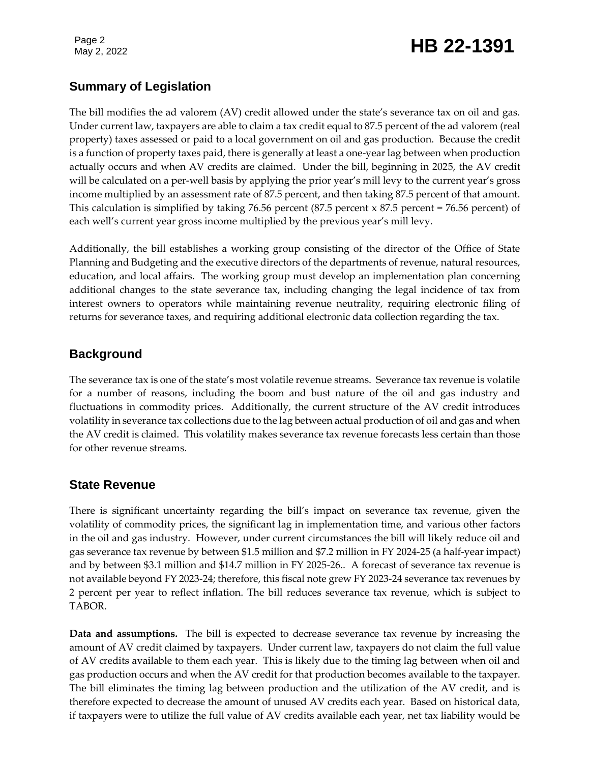Page 2

# Page 2<br>May 2, 2022 **HB 22-1391**

# **Summary of Legislation**

The bill modifies the ad valorem (AV) credit allowed under the state's severance tax on oil and gas. Under current law, taxpayers are able to claim a tax credit equal to 87.5 percent of the ad valorem (real property) taxes assessed or paid to a local government on oil and gas production. Because the credit is a function of property taxes paid, there is generally at least a one-year lag between when production actually occurs and when AV credits are claimed. Under the bill, beginning in 2025, the AV credit will be calculated on a per-well basis by applying the prior year's mill levy to the current year's gross income multiplied by an assessment rate of 87.5 percent, and then taking 87.5 percent of that amount. This calculation is simplified by taking 76.56 percent  $(87.5$  percent  $\times 87.5$  percent = 76.56 percent) of each well's current year gross income multiplied by the previous year's mill levy.

Additionally, the bill establishes a working group consisting of the director of the Office of State Planning and Budgeting and the executive directors of the departments of revenue, natural resources, education, and local affairs. The working group must develop an implementation plan concerning additional changes to the state severance tax, including changing the legal incidence of tax from interest owners to operators while maintaining revenue neutrality, requiring electronic filing of returns for severance taxes, and requiring additional electronic data collection regarding the tax.

## **Background**

The severance tax is one of the state's most volatile revenue streams. Severance tax revenue is volatile for a number of reasons, including the boom and bust nature of the oil and gas industry and fluctuations in commodity prices. Additionally, the current structure of the AV credit introduces volatility in severance tax collections due to the lag between actual production of oil and gas and when the AV credit is claimed. This volatility makes severance tax revenue forecasts less certain than those for other revenue streams.

### **State Revenue**

There is significant uncertainty regarding the bill's impact on severance tax revenue, given the volatility of commodity prices, the significant lag in implementation time, and various other factors in the oil and gas industry. However, under current circumstances the bill will likely reduce oil and gas severance tax revenue by between \$1.5 million and \$7.2 million in FY 2024-25 (a half-year impact) and by between \$3.1 million and \$14.7 million in FY 2025-26.. A forecast of severance tax revenue is not available beyond FY 2023-24; therefore, this fiscal note grew FY 2023-24 severance tax revenues by 2 percent per year to reflect inflation. The bill reduces severance tax revenue, which is subject to TABOR.

**Data and assumptions.** The bill is expected to decrease severance tax revenue by increasing the amount of AV credit claimed by taxpayers. Under current law, taxpayers do not claim the full value of AV credits available to them each year. This is likely due to the timing lag between when oil and gas production occurs and when the AV credit for that production becomes available to the taxpayer. The bill eliminates the timing lag between production and the utilization of the AV credit, and is therefore expected to decrease the amount of unused AV credits each year. Based on historical data, if taxpayers were to utilize the full value of AV credits available each year, net tax liability would be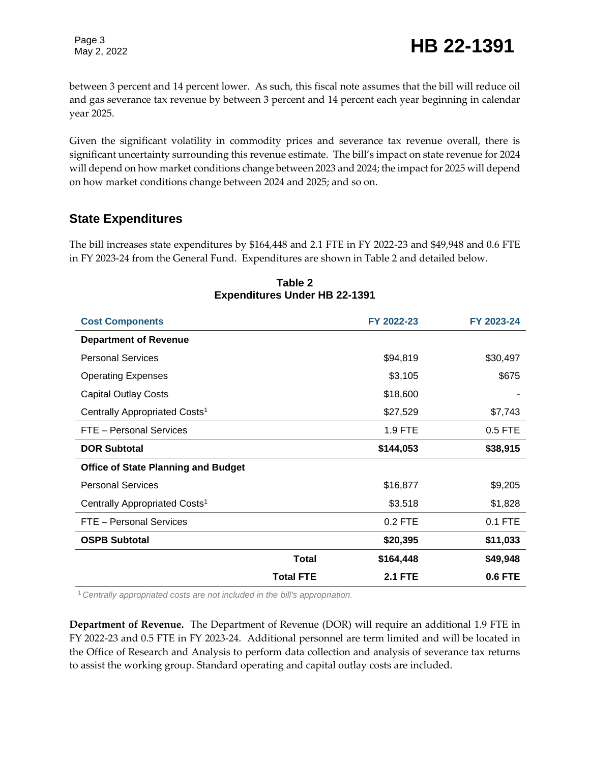Page 3

between 3 percent and 14 percent lower. As such, this fiscal note assumes that the bill will reduce oil and gas severance tax revenue by between 3 percent and 14 percent each year beginning in calendar year 2025.

Given the significant volatility in commodity prices and severance tax revenue overall, there is significant uncertainty surrounding this revenue estimate. The bill's impact on state revenue for 2024 will depend on how market conditions change between 2023 and 2024; the impact for 2025 will depend on how market conditions change between 2024 and 2025; and so on.

## **State Expenditures**

The bill increases state expenditures by \$164,448 and 2.1 FTE in FY 2022-23 and \$49,948 and 0.6 FTE in FY 2023-24 from the General Fund. Expenditures are shown in Table 2 and detailed below.

| <b>Cost Components</b>                     |                  | FY 2022-23     | FY 2023-24     |
|--------------------------------------------|------------------|----------------|----------------|
| <b>Department of Revenue</b>               |                  |                |                |
| <b>Personal Services</b>                   |                  | \$94,819       | \$30,497       |
| <b>Operating Expenses</b>                  |                  | \$3,105        | \$675          |
| <b>Capital Outlay Costs</b>                |                  | \$18,600       |                |
| Centrally Appropriated Costs <sup>1</sup>  |                  | \$27,529       | \$7,743        |
| FTE - Personal Services                    |                  | 1.9 FTE        | 0.5 FTE        |
| <b>DOR Subtotal</b>                        |                  | \$144,053      | \$38,915       |
| <b>Office of State Planning and Budget</b> |                  |                |                |
| <b>Personal Services</b>                   |                  | \$16,877       | \$9,205        |
| Centrally Appropriated Costs <sup>1</sup>  |                  | \$3,518        | \$1,828        |
| FTE - Personal Services                    |                  | $0.2$ FTE      | $0.1$ FTE      |
| <b>OSPB Subtotal</b>                       |                  | \$20,395       | \$11,033       |
|                                            | <b>Total</b>     | \$164,448      | \$49,948       |
|                                            | <b>Total FTE</b> | <b>2.1 FTE</b> | <b>0.6 FTE</b> |

#### **Table 2 Expenditures Under HB 22-1391**

<sup>1</sup>*Centrally appropriated costs are not included in the bill's appropriation.*

**Department of Revenue.** The Department of Revenue (DOR) will require an additional 1.9 FTE in FY 2022-23 and 0.5 FTE in FY 2023-24. Additional personnel are term limited and will be located in the Office of Research and Analysis to perform data collection and analysis of severance tax returns to assist the working group. Standard operating and capital outlay costs are included.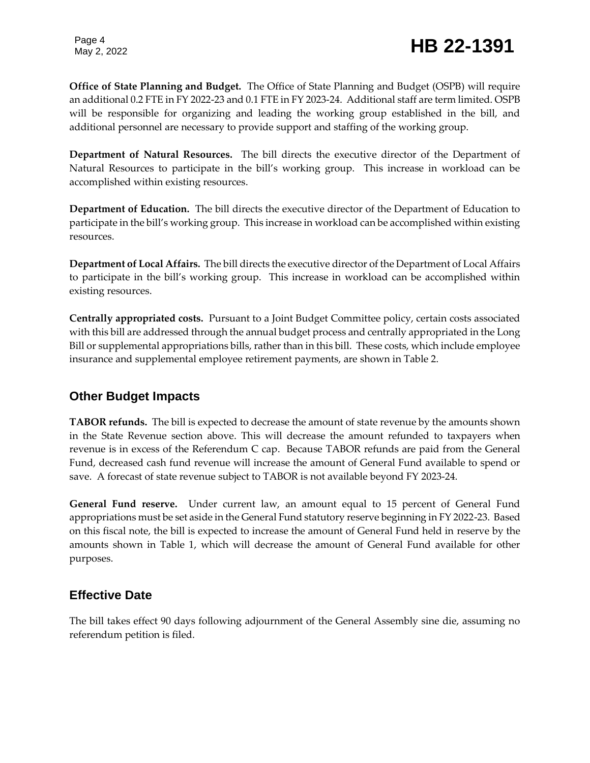# Page 4<br>May 2, 2022 **HB 22-1391**

**Office of State Planning and Budget.** The Office of State Planning and Budget (OSPB) will require an additional 0.2 FTE in FY 2022-23 and 0.1 FTE in FY 2023-24. Additional staff are term limited. OSPB will be responsible for organizing and leading the working group established in the bill, and additional personnel are necessary to provide support and staffing of the working group.

**Department of Natural Resources.** The bill directs the executive director of the Department of Natural Resources to participate in the bill's working group. This increase in workload can be accomplished within existing resources.

**Department of Education.** The bill directs the executive director of the Department of Education to participate in the bill's working group. This increase in workload can be accomplished within existing resources.

**Department of Local Affairs.** The bill directs the executive director of the Department of Local Affairs to participate in the bill's working group. This increase in workload can be accomplished within existing resources.

**Centrally appropriated costs.** Pursuant to a Joint Budget Committee policy, certain costs associated with this bill are addressed through the annual budget process and centrally appropriated in the Long Bill or supplemental appropriations bills, rather than in this bill. These costs, which include employee insurance and supplemental employee retirement payments, are shown in Table 2.

### **Other Budget Impacts**

**TABOR refunds.** The bill is expected to decrease the amount of state revenue by the amounts shown in the State Revenue section above. This will decrease the amount refunded to taxpayers when revenue is in excess of the Referendum C cap. Because TABOR refunds are paid from the General Fund, decreased cash fund revenue will increase the amount of General Fund available to spend or save. A forecast of state revenue subject to TABOR is not available beyond FY 2023-24.

**General Fund reserve.** Under current law, an amount equal to 15 percent of General Fund appropriations must be set aside in the General Fund statutory reserve beginning in FY 2022-23. Based on this fiscal note, the bill is expected to increase the amount of General Fund held in reserve by the amounts shown in Table 1, which will decrease the amount of General Fund available for other purposes.

# **Effective Date**

The bill takes effect 90 days following adjournment of the General Assembly sine die, assuming no referendum petition is filed.